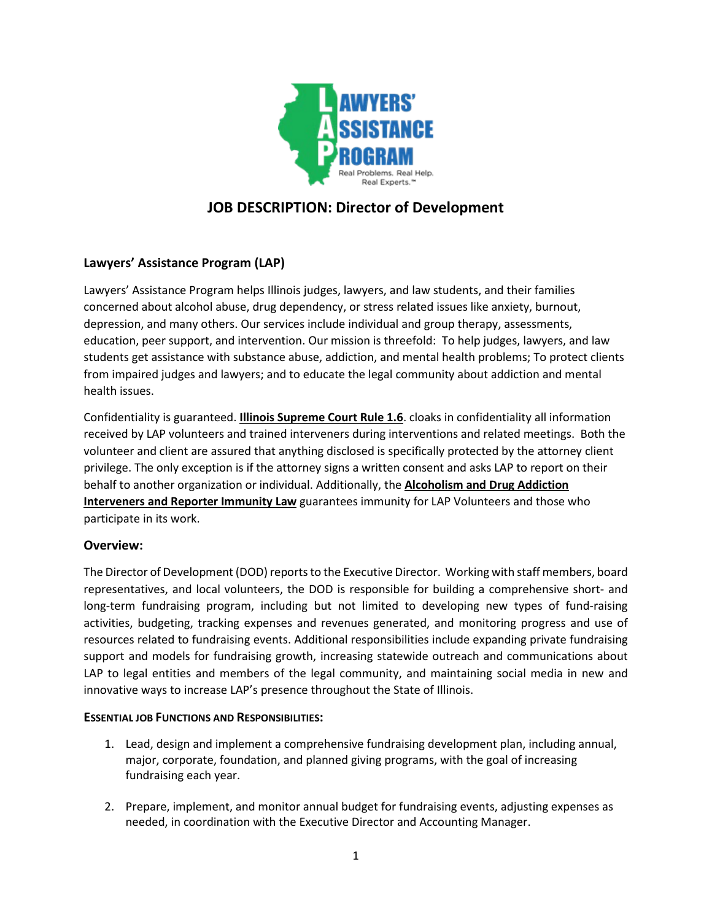

# **JOB DESCRIPTION: Director of Development**

# **Lawyers' Assistance Program (LAP)**

Lawyers' Assistance Program helps Illinois judges, lawyers, and law students, and their families concerned about alcohol abuse, drug dependency, or stress related issues like anxiety, burnout, depression, and many others. Our services include individual and group therapy, assessments, education, peer support, and intervention. Our mission is threefold: To help judges, lawyers, and law students get assistance with substance abuse, addiction, and mental health problems; To protect clients from impaired judges and lawyers; and to educate the legal community about addiction and mental health issues.

Confidentiality is guaranteed. **Illinois Supreme Court Rule 1.6**. cloaks in confidentiality all information received by LAP volunteers and trained interveners during interventions and related meetings. Both the volunteer and client are assured that anything disclosed is specifically protected by the attorney client privilege. The only exception is if the attorney signs a written consent and asks LAP to report on their behalf to another organization or individual. Additionally, the **Alcoholism and Drug Addiction Interveners and Reporter Immunity Law** guarantees immunity for LAP Volunteers and those who participate in its work.

# **Overview:**

The Director of Development (DOD) reports to the Executive Director. Working with staff members, board representatives, and local volunteers, the DOD is responsible for building a comprehensive short- and long-term fundraising program, including but not limited to developing new types of fund-raising activities, budgeting, tracking expenses and revenues generated, and monitoring progress and use of resources related to fundraising events. Additional responsibilities include expanding private fundraising support and models for fundraising growth, increasing statewide outreach and communications about LAP to legal entities and members of the legal community, and maintaining social media in new and innovative ways to increase LAP's presence throughout the State of Illinois.

## **ESSENTIAL JOB FUNCTIONS AND RESPONSIBILITIES:**

- 1. Lead, design and implement a comprehensive fundraising development plan, including annual, major, corporate, foundation, and planned giving programs, with the goal of increasing fundraising each year.
- 2. Prepare, implement, and monitor annual budget for fundraising events, adjusting expenses as needed, in coordination with the Executive Director and Accounting Manager.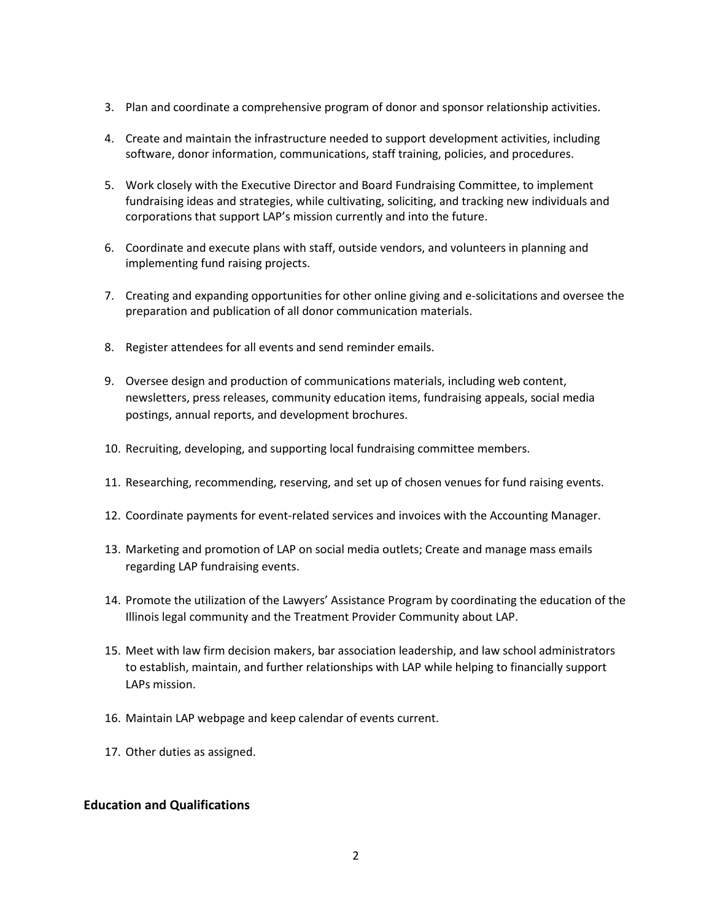- 3. Plan and coordinate a comprehensive program of donor and sponsor relationship activities.
- 4. Create and maintain the infrastructure needed to support development activities, including software, donor information, communications, staff training, policies, and procedures.
- 5. Work closely with the Executive Director and Board Fundraising Committee, to implement fundraising ideas and strategies, while cultivating, soliciting, and tracking new individuals and corporations that support LAP's mission currently and into the future.
- 6. Coordinate and execute plans with staff, outside vendors, and volunteers in planning and implementing fund raising projects.
- 7. Creating and expanding opportunities for other online giving and e-solicitations and oversee the preparation and publication of all donor communication materials.
- 8. Register attendees for all events and send reminder emails.
- 9. Oversee design and production of communications materials, including web content, newsletters, press releases, community education items, fundraising appeals, social media postings, annual reports, and development brochures.
- 10. Recruiting, developing, and supporting local fundraising committee members.
- 11. Researching, recommending, reserving, and set up of chosen venues for fund raising events.
- 12. Coordinate payments for event-related services and invoices with the Accounting Manager.
- 13. Marketing and promotion of LAP on social media outlets; Create and manage mass emails regarding LAP fundraising events.
- 14. Promote the utilization of the Lawyers' Assistance Program by coordinating the education of the Illinois legal community and the Treatment Provider Community about LAP.
- 15. Meet with law firm decision makers, bar association leadership, and law school administrators to establish, maintain, and further relationships with LAP while helping to financially support LAPs mission.
- 16. Maintain LAP webpage and keep calendar of events current.
- 17. Other duties as assigned.

### **Education and Qualifications**